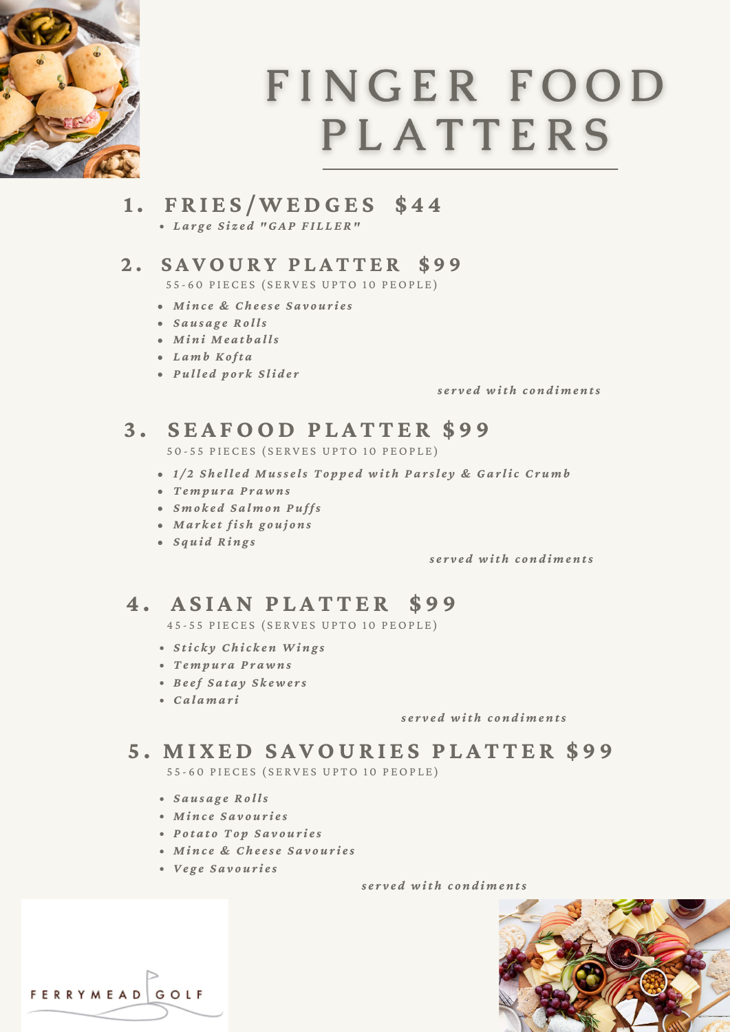

# FINGER FOOD **PLATTERS**

**1. F R I E S /WEDGE S \$ 4 4**

*L a r g e S i z e d "GA P F I L L ER"*

### **2 . S A VOUR Y P L A T T E R \$ 9 9**

55-60 PIECES (SERVES UPTO 10 PEOPLE)

- *M i n c e & Ch e e s e S a v o u r i e s*
- *S a u s a g e Ro l ls*
- *M i n i M e a t b a l ls*
- *L a m b Ko ft a*
- *P u l l e d p o r k S li d e r*

*s e r v e d w it h c o n d i m e n ts*

# **3 . S E A FOOD P L A T T E R \$ 9 9**

50-55 PIECES (SERVES UPTO 10 PEOPLE)

- 1/2 Shelled Mussels Topped with Parsley & Garlic Crumb
- *Te m p u r a P r a w n s*
- *S m o k e d S a l m o n P u f fs*
- *M a r k e t fis h g o u j o n s*
- *S q u i d Ri n g s*

*s e r v e d w it h c o n d i m e n ts*

## **4 . A S I AN P L A T T E R \$ 9 9**

45-55 PIECES (SERVES UPTO 10 PEOPLE)

- *S tic k y Ch ic k e n Wi n g s*
- *Te m p u r a P r a w n s*
- *B e e f S a t a y S k e w e r s*
- *Ca l a m a r i*

*s e r v e d w it h c o n d i m e n ts*

## **5 . M I X ED S A VOUR I E S P L A T T E R \$ 9 9**

55 - 60 PIECES (SERVES UPTO 10 PEOPLE)

- *S a u s a g e Ro l ls*
- *M i n c e S a v o u r i e s*
- *P o t a t o To p S a v o u r i e s*
- *M i n c e & Ch e e s e S a v o u r i e s*
- *Ve g e S a v o u r i e s*

FERRYMEAD GOLF

*s e r v e d w it h c o n d i m e n ts*

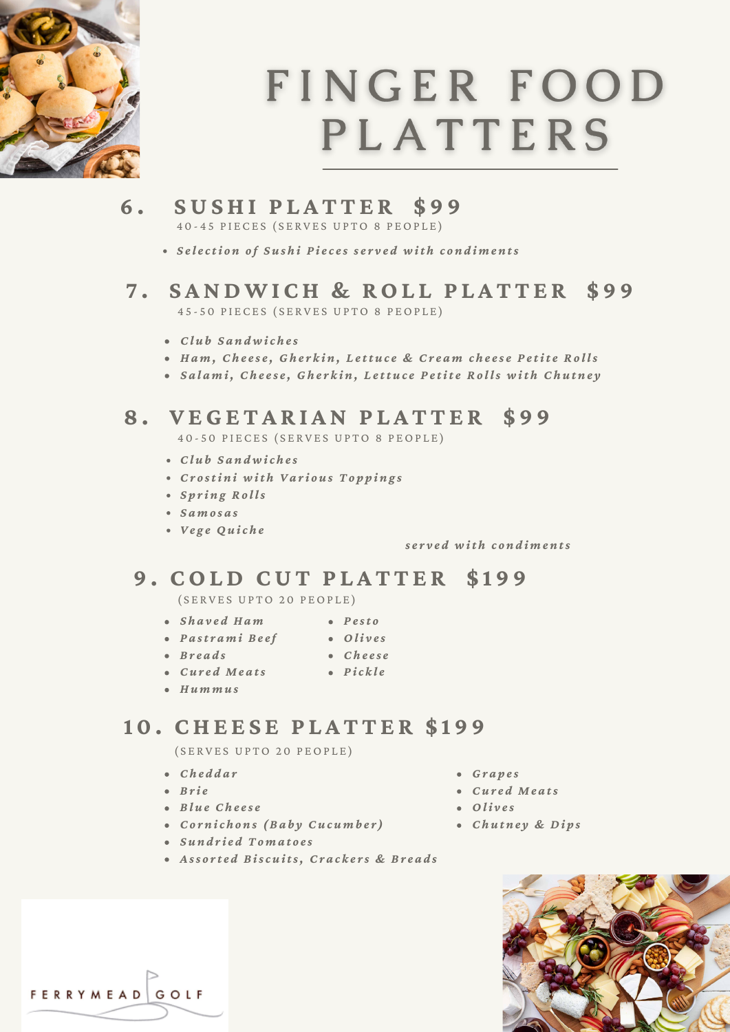

# FINGER FOOD **PLATTERS**

- **6 . SUSHI P L A T T E R \$ 9 9** 40-45 PIECES (SERVES UPTO 8 PEOPLE)
	- Selection of Sushi Pieces served with condiments
- **7 . S ANDWI CH & ROL L P L A T T E R \$ 9 9** 45-50 PIECES (SERVES UPTO 8 PEOPLE)
	- *Cl u b S a n d w ic h e s*
	- Ham, Cheese, Gherkin, Lettuce & Cream cheese Petite Rolls
	- Salami, Cheese, Gherkin, Lettuce Petite Rolls with Chutney

### **8 . V EGE T A R I AN P L A T T E R \$ 9 9**

40-50 PIECES (SERVES UPTO 8 PEOPLE)

- *Cl u b S a n d w ic h e s*
- *Cr o sti n i w it h Va r i o u s To p p i n g s*
- *S p r i n g Ro l ls*
- *S a m o s a s*
- *Ve g e Qu ic h e*

*s e r v e d w it h c o n d i m e n ts*

### **9 . COLD CUT P L A T T E R \$ 1 9 9**

( SERVES UPTO 20 PEOPLE)

- *S h a v e d Ha m P e st o*
	- *Oli v e s*
- *P a st r a m i B e e f*  $\bullet$  *Breads*
- *Ch e e s e P ic k l e*
- *Cu r e d M e a ts*
- *Hu m m u s*

### **1 0 . CHE E S E P L A T T E R \$ 1 9 9**

( SERVES UPTO 20 PEOPLE)

- *Ch e d d a r*
- $\bullet$  *Brie*
- *B l u e Ch e e s e*
- *Co r n ic h o n s ( B a b y Cu c u m b e r )*
- *S u n d r i e d To m a t o e s*
- Assorted Biscuits, Crackers & Breads
- *Gr a p e s*
- *Cu r e d M e a ts*
- $\bullet$  *Olives*
- *Ch u t n e y & Di p s*